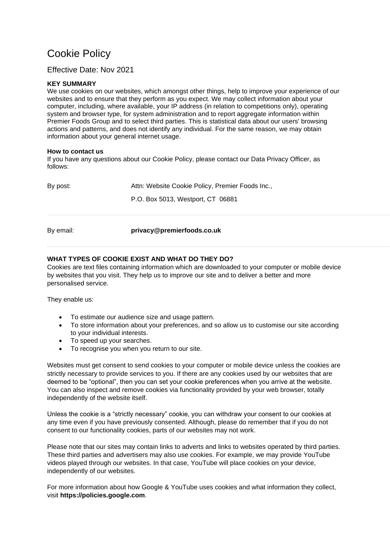# Cookie Policy

#### Effective Date: Nov 2021

#### **KEY SUMMARY**

We use cookies on our websites, which amongst other things, help to improve your experience of our websites and to ensure that they perform as you expect. We may collect information about your computer, including, where available, your IP address (in relation to competitions only), operating system and browser type, for system administration and to report aggregate information within Premier Foods Group and to select third parties. This is statistical data about our users' browsing actions and patterns, and does not identify any individual. For the same reason, we may obtain information about your general internet usage.

#### **How to contact us**

If you have any questions about our Cookie Policy, please contact our Data Privacy Officer, as follows:

| By email: | privacy@premierfoods.co.uk                       |
|-----------|--------------------------------------------------|
|           | P.O. Box 5013, Westport, CT 06881                |
| By post:  | Attn: Website Cookie Policy, Premier Foods Inc., |

#### **WHAT TYPES OF COOKIE EXIST AND WHAT DO THEY DO?**

Cookies are text files containing information which are downloaded to your computer or mobile device by websites that you visit. They help us to improve our site and to deliver a better and more personalised service.

They enable us:

- To estimate our audience size and usage pattern.
- To store information about your preferences, and so allow us to customise our site according to your individual interests.
- To speed up your searches.
- To recognise you when you return to our site.

Websites must get consent to send cookies to your computer or mobile device unless the cookies are strictly necessary to provide services to you. If there are any cookies used by our websites that are deemed to be "optional", then you can set your cookie preferences when you arrive at the website. You can also inspect and remove cookies via functionality provided by your web browser, totally independently of the website itself.

Unless the cookie is a "strictly necessary" cookie, you can withdraw your consent to our cookies at any time even if you have previously consented. Although, please do remember that if you do not consent to our functionality cookies, parts of our websites may not work.

Please note that our sites may contain links to adverts and links to websites operated by third parties. These third parties and advertisers may also use cookies. For example, we may provide YouTube videos played through our websites. In that case, YouTube will place cookies on your device, independently of our websites.

For more information about how Google & YouTube uses cookies and what information they collect, visit **[https://policies.google.com](https://policies.google.com/)**.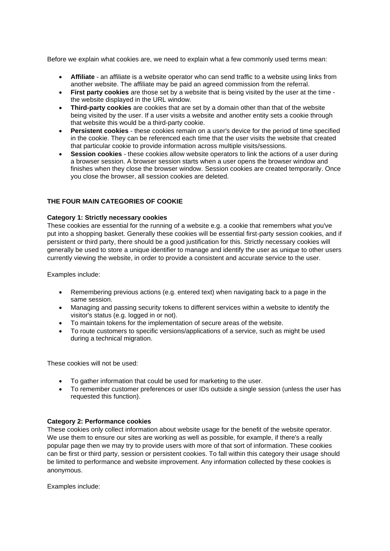Before we explain what cookies are, we need to explain what a few commonly used terms mean:

- **Affiliate** an affiliate is a website operator who can send traffic to a website using links from another website. The affiliate may be paid an agreed commission from the referral.
- **First party cookies** are those set by a website that is being visited by the user at the time the website displayed in the URL window.
- **Third-party cookies** are cookies that are set by a domain other than that of the website being visited by the user. If a user visits a website and another entity sets a cookie through that website this would be a third-party cookie.
- **Persistent cookies** these cookies remain on a user's device for the period of time specified in the cookie. They can be referenced each time that the user visits the website that created that particular cookie to provide information across multiple visits/sessions.
- **Session cookies** these cookies allow website operators to link the actions of a user during a browser session. A browser session starts when a user opens the browser window and finishes when they close the browser window. Session cookies are created temporarily. Once you close the browser, all session cookies are deleted.

#### **THE FOUR MAIN CATEGORIES OF COOKIE**

#### **Category 1: Strictly necessary cookies**

These cookies are essential for the running of a website e.g. a cookie that remembers what you've put into a shopping basket. Generally these cookies will be essential first-party session cookies, and if persistent or third party, there should be a good justification for this. Strictly necessary cookies will generally be used to store a unique identifier to manage and identify the user as unique to other users currently viewing the website, in order to provide a consistent and accurate service to the user.

Examples include:

- Remembering previous actions (e.g. entered text) when navigating back to a page in the same session.
- Managing and passing security tokens to different services within a website to identify the visitor's status (e.g. logged in or not).
- To maintain tokens for the implementation of secure areas of the website.
- To route customers to specific versions/applications of a service, such as might be used during a technical migration.

These cookies will not be used:

- To gather information that could be used for marketing to the user.
- To remember customer preferences or user IDs outside a single session (unless the user has requested this function).

#### **Category 2: Performance cookies**

These cookies only collect information about website usage for the benefit of the website operator. We use them to ensure our sites are working as well as possible, for example, if there's a really popular page then we may try to provide users with more of that sort of information. These cookies can be first or third party, session or persistent cookies. To fall within this category their usage should be limited to performance and website improvement. Any information collected by these cookies is anonymous.

Examples include: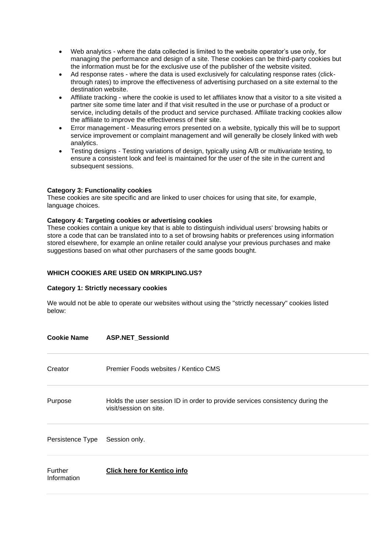- Web analytics where the data collected is limited to the website operator's use only, for managing the performance and design of a site. These cookies can be third-party cookies but the information must be for the exclusive use of the publisher of the website visited.
- Ad response rates where the data is used exclusively for calculating response rates (clickthrough rates) to improve the effectiveness of advertising purchased on a site external to the destination website.
- Affiliate tracking where the cookie is used to let affiliates know that a visitor to a site visited a partner site some time later and if that visit resulted in the use or purchase of a product or service, including details of the product and service purchased. Affiliate tracking cookies allow the affiliate to improve the effectiveness of their site.
- Error management Measuring errors presented on a website, typically this will be to support service improvement or complaint management and will generally be closely linked with web analytics.
- Testing designs Testing variations of design, typically using A/B or multivariate testing, to ensure a consistent look and feel is maintained for the user of the site in the current and subsequent sessions.

#### **Category 3: Functionality cookies**

These cookies are site specific and are linked to user choices for using that site, for example, language choices.

#### **Category 4: Targeting cookies or advertising cookies**

These cookies contain a unique key that is able to distinguish individual users' browsing habits or store a code that can be translated into to a set of browsing habits or preferences using information stored elsewhere, for example an online retailer could analyse your previous purchases and make suggestions based on what other purchasers of the same goods bought.

#### **WHICH COOKIES ARE USED ON MRKIPLING.US?**

#### **Category 1: Strictly necessary cookies**

We would not be able to operate our websites without using the "strictly necessary" cookies listed below:

| <b>Cookie Name</b>     | <b>ASP.NET_SessionId</b>                                                                                |
|------------------------|---------------------------------------------------------------------------------------------------------|
| Creator                | Premier Foods websites / Kentico CMS                                                                    |
| Purpose                | Holds the user session ID in order to provide services consistency during the<br>visit/session on site. |
| Persistence Type       | Session only.                                                                                           |
| Further<br>Information | <b>Click here for Kentico info</b>                                                                      |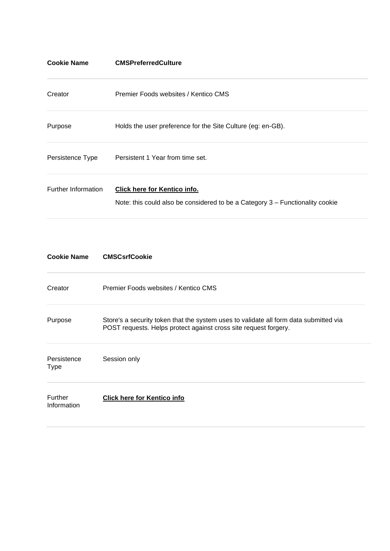| <b>Cookie Name</b>  | <b>CMSPreferredCulture</b>                                                                                           |
|---------------------|----------------------------------------------------------------------------------------------------------------------|
| Creator             | Premier Foods websites / Kentico CMS                                                                                 |
| Purpose             | Holds the user preference for the Site Culture (eg: en-GB).                                                          |
| Persistence Type    | Persistent 1 Year from time set.                                                                                     |
| Further Information | <b>Click here for Kentico info.</b><br>Note: this could also be considered to be a Category 3 - Functionality cookie |

| <b>Cookie Name</b>     | <b>CMSCsrfCookie</b>                                                                                                                                      |
|------------------------|-----------------------------------------------------------------------------------------------------------------------------------------------------------|
| Creator                | Premier Foods websites / Kentico CMS                                                                                                                      |
| Purpose                | Store's a security token that the system uses to validate all form data submitted via<br>POST requests. Helps protect against cross site request forgery. |
| Persistence<br>Type    | Session only                                                                                                                                              |
| Further<br>Information | <b>Click here for Kentico info</b>                                                                                                                        |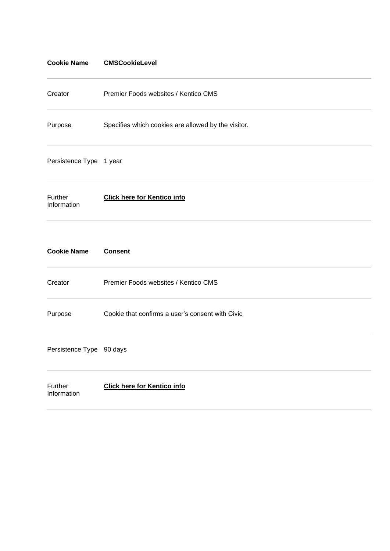| <b>Cookie Name</b>       | <b>CMSCookieLevel</b>                               |
|--------------------------|-----------------------------------------------------|
| Creator                  | Premier Foods websites / Kentico CMS                |
| Purpose                  | Specifies which cookies are allowed by the visitor. |
| Persistence Type 1 year  |                                                     |
| Further<br>Information   | <b>Click here for Kentico info</b>                  |
| <b>Cookie Name</b>       | <b>Consent</b>                                      |
| Creator                  | Premier Foods websites / Kentico CMS                |
| Purpose                  | Cookie that confirms a user's consent with Civic    |
| Persistence Type 90 days |                                                     |
| Further<br>Information   | <b>Click here for Kentico info</b>                  |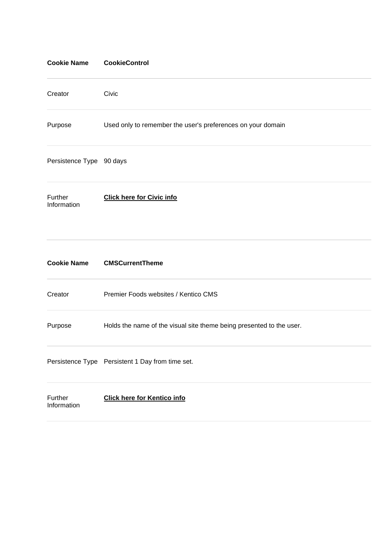| <b>Cookie Name</b>       | <b>CookieControl</b>                                                 |
|--------------------------|----------------------------------------------------------------------|
| Creator                  | Civic                                                                |
| Purpose                  | Used only to remember the user's preferences on your domain          |
| Persistence Type 90 days |                                                                      |
| Further<br>Information   | <b>Click here for Civic info</b>                                     |
| <b>Cookie Name</b>       | <b>CMSCurrentTheme</b>                                               |
| Creator                  | Premier Foods websites / Kentico CMS                                 |
| Purpose                  | Holds the name of the visual site theme being presented to the user. |
|                          | Persistence Type  Persistent 1 Day from time set.                    |
| Further<br>Information   | <b>Click here for Kentico info</b>                                   |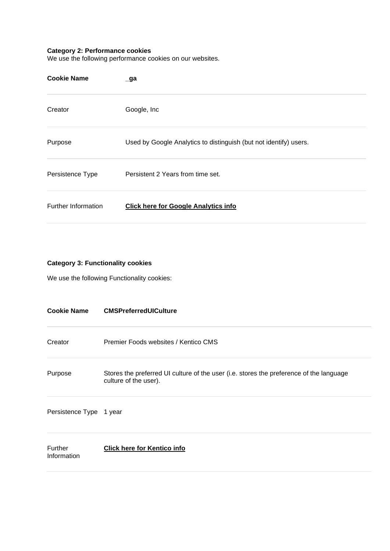#### **Category 2: Performance cookies**

We use the following performance cookies on our websites.

| <b>Cookie Name</b>         | $\Box$ ga                                                         |
|----------------------------|-------------------------------------------------------------------|
| Creator                    | Google, Inc                                                       |
| Purpose                    | Used by Google Analytics to distinguish (but not identify) users. |
| Persistence Type           | Persistent 2 Years from time set.                                 |
| <b>Further Information</b> | <b>Click here for Google Analytics info</b>                       |

### **Category 3: Functionality cookies**

We use the following Functionality cookies:

| <b>Cookie Name</b>      | <b>CMSPreferredUICulture</b>                                                                                     |
|-------------------------|------------------------------------------------------------------------------------------------------------------|
| Creator                 | Premier Foods websites / Kentico CMS                                                                             |
| Purpose                 | Stores the preferred UI culture of the user (i.e. stores the preference of the language<br>culture of the user). |
| Persistence Type 1 year |                                                                                                                  |
| Further<br>Information  | <b>Click here for Kentico info</b>                                                                               |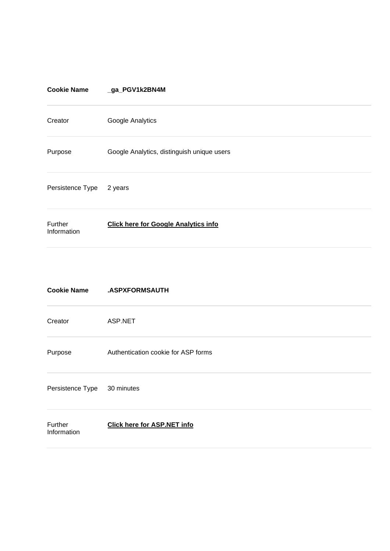| <b>Cookie Name</b>     | _ga_PGV1k2BN4M                              |
|------------------------|---------------------------------------------|
| Creator                | Google Analytics                            |
| Purpose                | Google Analytics, distinguish unique users  |
| Persistence Type       | 2 years                                     |
| Further<br>Information | <b>Click here for Google Analytics info</b> |
|                        |                                             |
| <b>Cookie Name</b>     | .ASPXFORMSAUTH                              |
| Creator                | ASP.NET                                     |
| Purpose                | Authentication cookie for ASP forms         |
|                        |                                             |
| Persistence Type       | 30 minutes                                  |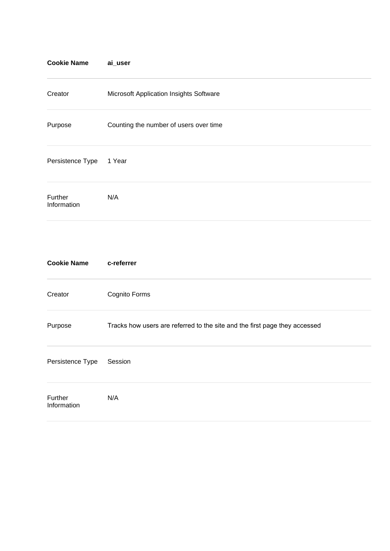| <b>Cookie Name</b>     | ai_user                                 |
|------------------------|-----------------------------------------|
| Creator                | Microsoft Application Insights Software |
| Purpose                | Counting the number of users over time  |
| Persistence Type       | 1 Year                                  |
| Further<br>Information | N/A                                     |

| <b>Cookie Name</b>     | c-referrer                                                                 |
|------------------------|----------------------------------------------------------------------------|
| Creator                | Cognito Forms                                                              |
| Purpose                | Tracks how users are referred to the site and the first page they accessed |
| Persistence Type       | Session                                                                    |
| Further<br>Information | N/A                                                                        |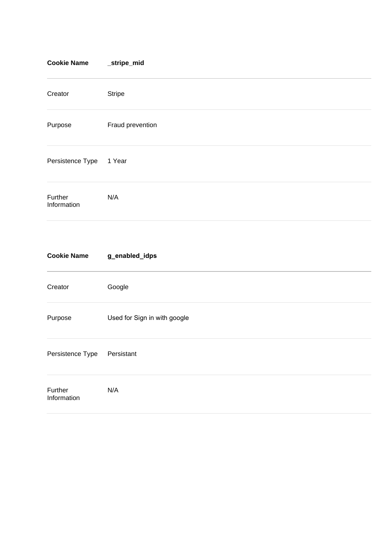| <b>Cookie Name</b>     | _stripe_mid                  |
|------------------------|------------------------------|
| Creator                | <b>Stripe</b>                |
| Purpose                | Fraud prevention             |
| Persistence Type       | 1 Year                       |
| Further<br>Information | N/A                          |
| <b>Cookie Name</b>     | g_enabled_idps               |
| Creator                | Google                       |
| Purpose                | Used for Sign in with google |
| Persistence Type       | Persistant                   |
| Further<br>Information | N/A                          |
|                        |                              |